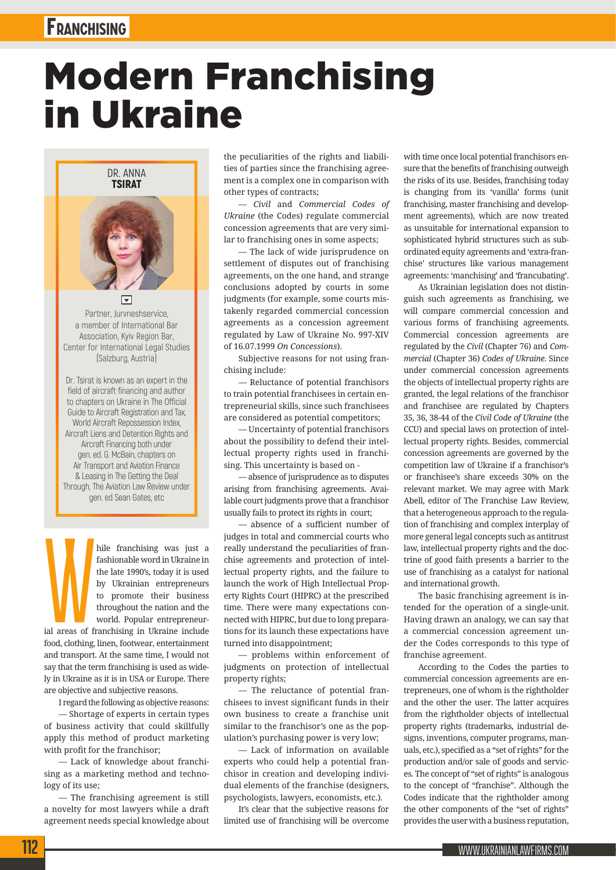## **Franchising**

## Modern Franchising in Ukraine

DR. ANNA TSIRAT



Partner, Juryneshservice a member of International Bar Association, Kyiv Region Bar, Center for International Legal Studies (Salzburg, Austria)

Dr. Tsirat is known as an expert in the field of aircraft financing and author to chapters on Ukraine in The Official Guide to Aircraft Registration and Tax, World Aircraft Repossession Index, Aircraft Liens and Detention Rights and Aircraft Financing both under gen. ed. G. McBain, chapters on Air Transport and Aviation Finance & Leasing in The Getting the Deal Through, The Aviation Law Review under gen. ed Sean Gates, etc

M<br>al areas of fi hile franchising was just a fashionable word in Ukraine in the late 1990's, today it is used by Ukrainian entrepreneurs to promote their business throughout the nation and the world. Popular entrepreneurial areas of franchising in Ukraine include food, clothing, linen, footwear, entertainment and transport. At the same time, I would not say that the term franchising is used as widely in Ukraine as it is in USA or Europe. There are objective and subjective reasons.

I regard the following as objective reasons: — Shortage of experts in certain types of business activity that could skillfully apply this method of product marketing with profit for the franchisor;

— Lack of knowledge about franchising as a marketing method and technology of its use;

— The franchising agreement is still a novelty for most lawyers while a draft agreement needs special knowledge about the peculiarities of the rights and liabilities of parties since the franchising agreement is a complex one in comparison with other types of contracts;

*— Civil* and *Commercial Codes of Ukraine* (the Codes) regulate commercial concession agreements that are very similar to franchising ones in some aspects;

— The lack of wide jurisprudence on settlement of disputes out of franchising agreements, on the one hand, and strange conclusions adopted by courts in some judgments (for example, some courts mistakenly regarded commercial concession agreements as a concession agreement regulated by Law of Ukraine No. 997-XIV of 16.07.1999 *On Concessions*).

Subjective reasons for not using franchising include:

— Reluctance of potential franchisors to train potential franchisees in certain entrepreneurial skills, since such franchisees are considered as potential competitors;

— Uncertainty of potential franchisors about the possibility to defend their intellectual property rights used in franchising. This uncertainty is based on -

— absence of jurisprudence as to disputes arising from franchising agreements. Available court judgments prove that a franchisor usually fails to protect its rights in court;

— absence of a sufficient number of judges in total and commercial courts who really understand the peculiarities of franchise agreements and protection of intellectual property rights, and the failure to launch the work of High Intellectual Property Rights Court (HIPRC) at the prescribed time. There were many expectations connected with HIPRC, but due to long preparations for its launch these expectations have turned into disappointment;

— problems within enforcement of judgments on protection of intellectual property rights;

— The reluctance of potential franchisees to invest significant funds in their own business to create a franchise unit similar to the franchisor's one as the population's purchasing power is very low;

— Lack of information on available experts who could help a potential franchisor in creation and developing individual elements of the franchise (designers, psychologists, lawyers, economists, etc.).

It's clear that the subjective reasons for limited use of franchising will be overcome with time once local potential franchisors ensure that the benefits of franchising outweigh the risks of its use. Besides, franchising today is changing from its 'vanilla' forms (unit franchising, master franchising and development agreements), which are now treated as unsuitable for international expansion to sophisticated hybrid structures such as subordinated equity agreements and 'extra-franchise' structures like various management agreements: 'manchising' and 'francubating'.

As Ukrainian legislation does not distinguish such agreements as franchising, we will compare commercial concession and various forms of franchising agreements. Commercial concession agreements are regulated by the *Civil* (Chapter 76) and *Commercial* (Chapter 36) *Codes of Ukraine*. Since under commercial concession agreements the objects of intellectual property rights are granted, the legal relations of the franchisor and franchisee are regulated by Chapters 35, 36, 38-44 of the *Civil Code of Ukraine* (the CCU) and special laws on protection of intellectual property rights. Besides, commercial concession agreements are governed by the competition law of Ukraine if a franchisor's or franchisee's share exceeds 30% on the relevant market. We may agree with Mark Abell, editor of The Franchise Law Review, that a heterogeneous approach to the regulation of franchising and complex interplay of more general legal concepts such as antitrust law, intellectual property rights and the doctrine of good faith presents a barrier to the use of franchising as a catalyst for national and international growth.

The basic franchising agreement is intended for the operation of a single-unit. Having drawn an analogy, we can say that a commercial concession agreement under the Codes corresponds to this type of franchise agreement.

According to the Codes the parties to commercial concession agreements are entrepreneurs, one of whom is the rightholder and the other the user. The latter acquires from the rightholder objects of intellectual property rights (trademarks, industrial designs, inventions, computer programs, manuals, etc.), specified as a "set of rights" for the production and/or sale of goods and services. The concept of "set of rights" is analogous to the concept of "franchise". Although the Codes indicate that the rightholder among the other components of the "set of rights" provides the user with a business reputation,